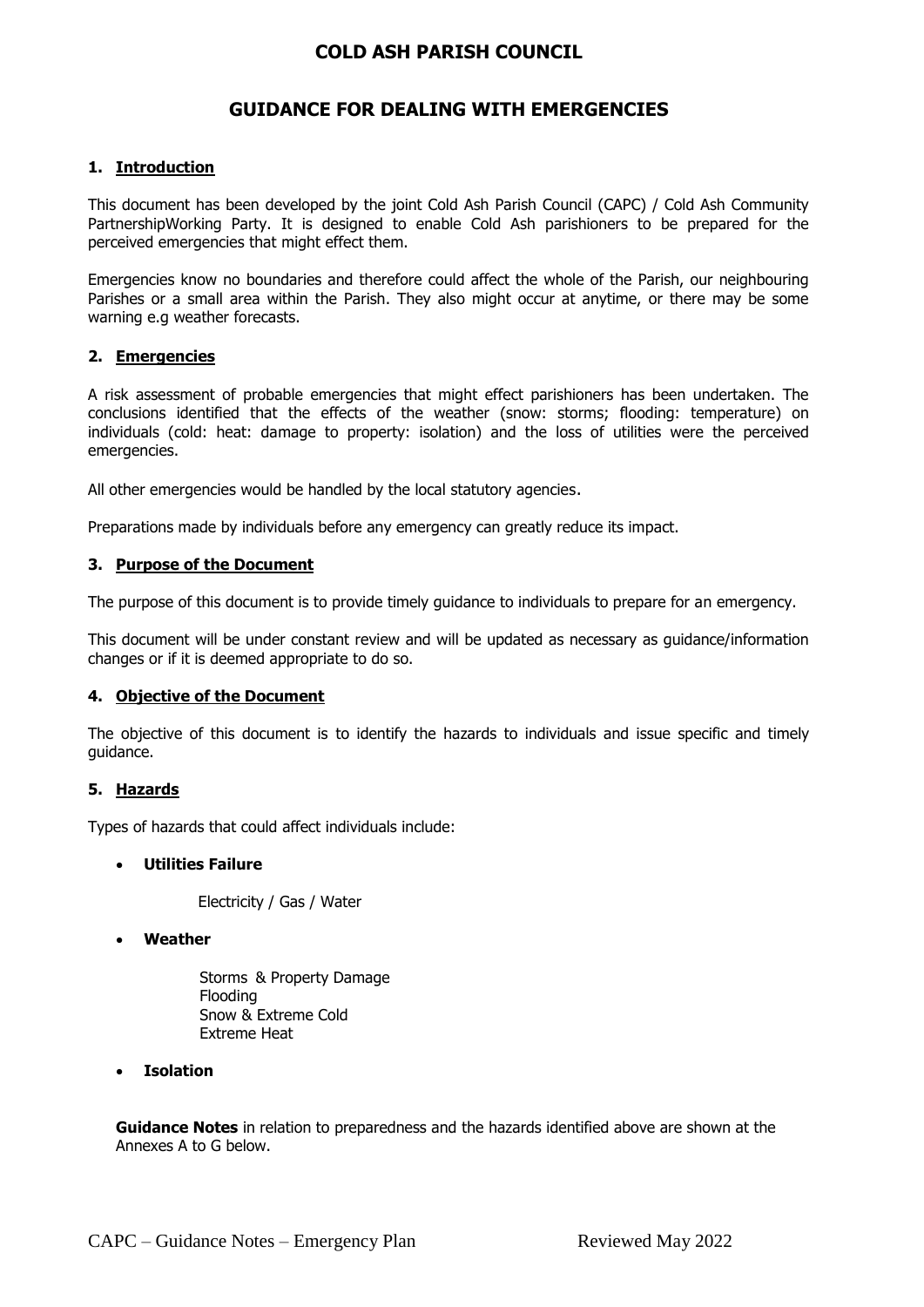# **GUIDANCE FOR DEALING WITH EMERGENCIES**

### **1. Introduction**

This document has been developed by the joint Cold Ash Parish Council (CAPC) / Cold Ash Community PartnershipWorking Party. It is designed to enable Cold Ash parishioners to be prepared for the perceived emergencies that might effect them.

Emergencies know no boundaries and therefore could affect the whole of the Parish, our neighbouring Parishes or a small area within the Parish. They also might occur at anytime, or there may be some warning e.g weather forecasts.

#### **2. Emergencies**

A risk assessment of probable emergencies that might effect parishioners has been undertaken. The conclusions identified that the effects of the weather (snow: storms; flooding: temperature) on individuals (cold: heat: damage to property: isolation) and the loss of utilities were the perceived emergencies.

All other emergencies would be handled by the local statutory agencies.

Preparations made by individuals before any emergency can greatly reduce its impact.

#### **3. Purpose of the Document**

The purpose of this document is to provide timely guidance to individuals to prepare for an emergency.

This document will be under constant review and will be updated as necessary as guidance/information changes or if it is deemed appropriate to do so.

#### **4. Objective of the Document**

The objective of this document is to identify the hazards to individuals and issue specific and timely guidance.

#### **5. Hazards**

Types of hazards that could affect individuals include:

#### **Utilities Failure**

Electricity / Gas / Water

#### **Weather**

Storms & Property Damage Flooding Snow & Extreme Cold Extreme Heat

#### **Isolation**

**Guidance Notes** in relation to preparedness and the hazards identified above are shown at the Annexes A to G below.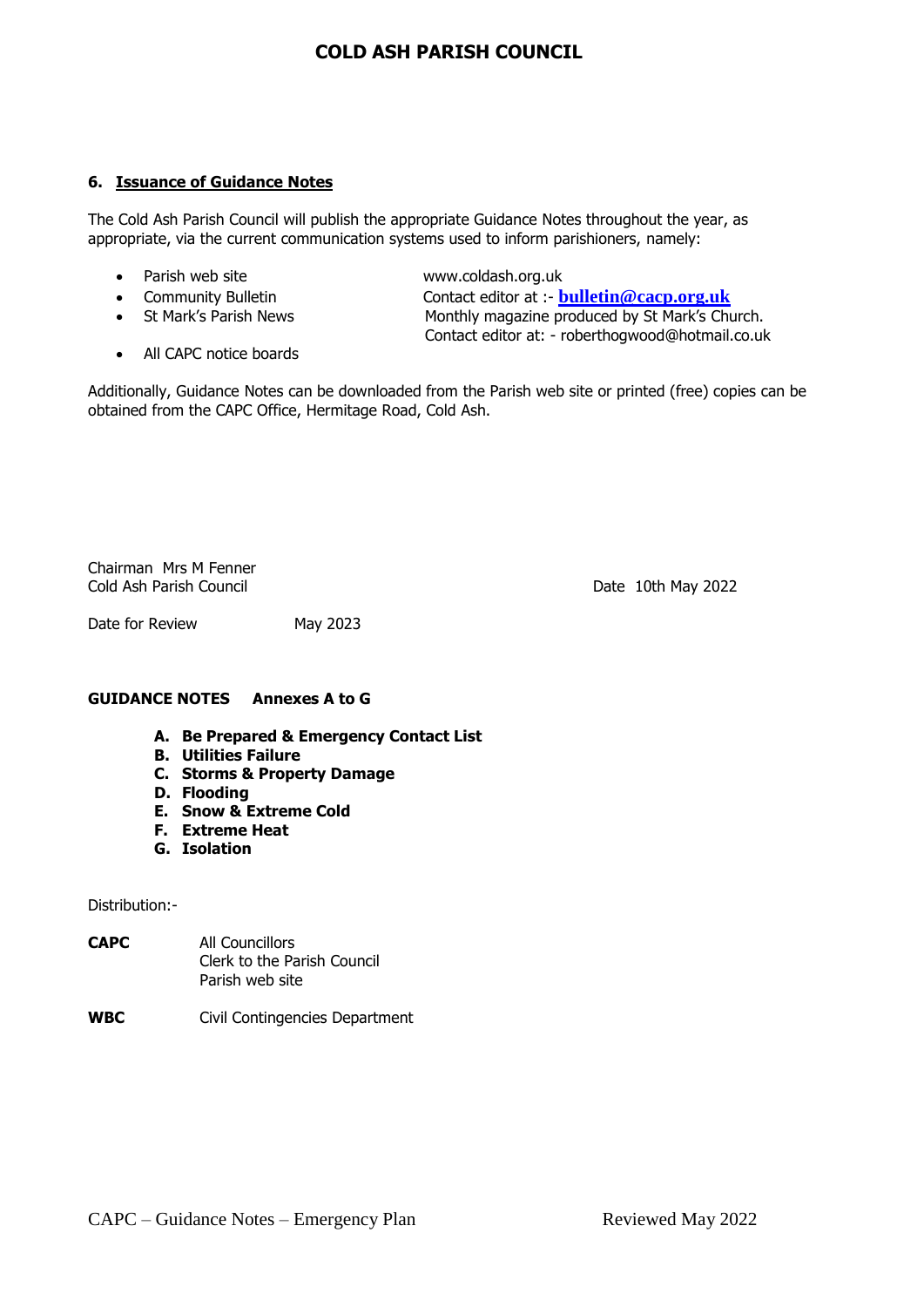#### **6. Issuance of Guidance Notes**

The Cold Ash Parish Council will publish the appropriate Guidance Notes throughout the year, as appropriate, via the current communication systems used to inform parishioners, namely:

- 
- 
- 
- All CAPC notice boards

Parish web site [www.coldash.org.uk](http://www.coldash.org.uk/)

**•** Community Bulletin **Contact editor at :- <b>[bulletin@cacp.org.uk](mailto:%20cabulletin@gmail.com)** Contact editor at :- **bulletin@cacp.org.uk**<br>• St Mark's Parish News **Contact Contact Monthly magazine produced by St Mark's Ch**u Monthly magazine produced by St Mark's Church. Contact editor at: - [roberthogwood@hotmail.co.uk](mailto:%20roberthogwood@hotmail.co.uk)

Additionally, Guidance Notes can be downloaded from the Parish web site or printed (free) copies can be obtained from the CAPC Office, Hermitage Road, Cold Ash.

Chairman Mrs M Fenner Cold Ash Parish Council Date 10th May 2022

Date for Review May 2023

#### **GUIDANCE NOTES Annexes A to G**

- **A. Be Prepared & Emergency Contact List**
- **B. Utilities Failure**
- **C. Storms & Property Damage**
- **D. Flooding**
- **E. Snow & Extreme Cold**
- **F. Extreme Heat**
- **G. Isolation**

#### Distribution:-

- **CAPC** All Councillors Clerk to the Parish Council Parish web site
- **WBC** Civil Contingencies Department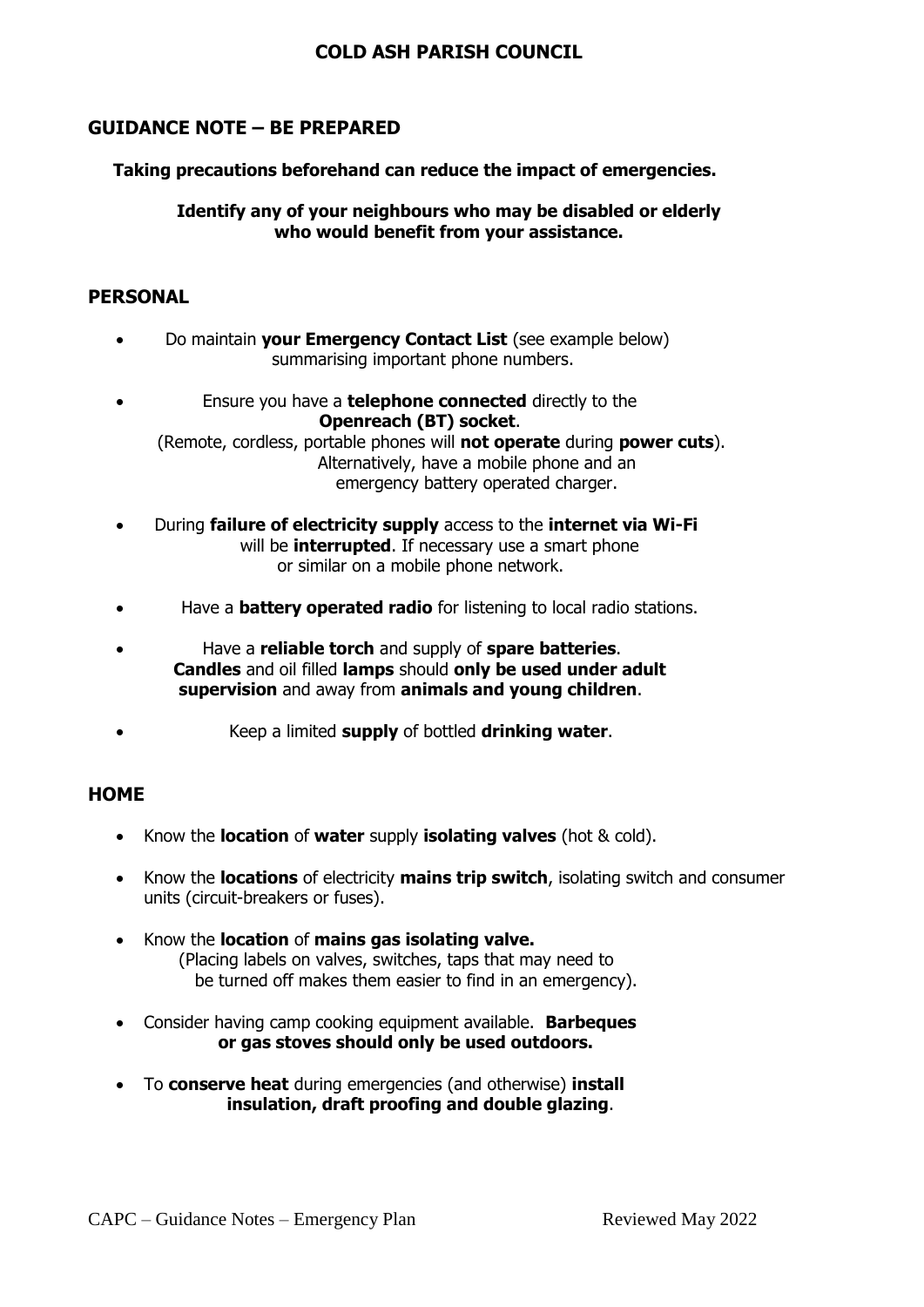# **GUIDANCE NOTE – BE PREPARED**

### **Taking precautions beforehand can reduce the impact of emergencies.**

**Identify any of your neighbours who may be disabled or elderly who would benefit from your assistance.**

# **PERSONAL**

- Do maintain **your Emergency Contact List** (see example below) summarising important phone numbers.
- Ensure you have a **telephone connected** directly to the  **Openreach (BT) socket**. (Remote, cordless, portable phones will **not operate** during **power cuts**). Alternatively, have a mobile phone and an emergency battery operated charger.
- During **failure of electricity supply** access to the **internet via Wi-Fi** will be **interrupted**. If necessary use a smart phone or similar on a mobile phone network.
- Have a **battery operated radio** for listening to local radio stations.
- Have a **reliable torch** and supply of **spare batteries**. **Candles** and oil filled **lamps** should **only be used under adult supervision** and away from **animals and young children**.
- Keep a limited **supply** of bottled **drinking water**.

# **HOME**

- Know the **location** of **water** supply **isolating valves** (hot & cold).
- Know the **locations** of electricity **mains trip switch**, isolating switch and consumer units (circuit-breakers or fuses).
- Know the **location** of **mains gas isolating valve.** (Placing labels on valves, switches, taps that may need to be turned off makes them easier to find in an emergency).
- Consider having camp cooking equipment available. **Barbeques or gas stoves should only be used outdoors.**
- To **conserve heat** during emergencies (and otherwise) **install insulation, draft proofing and double glazing**.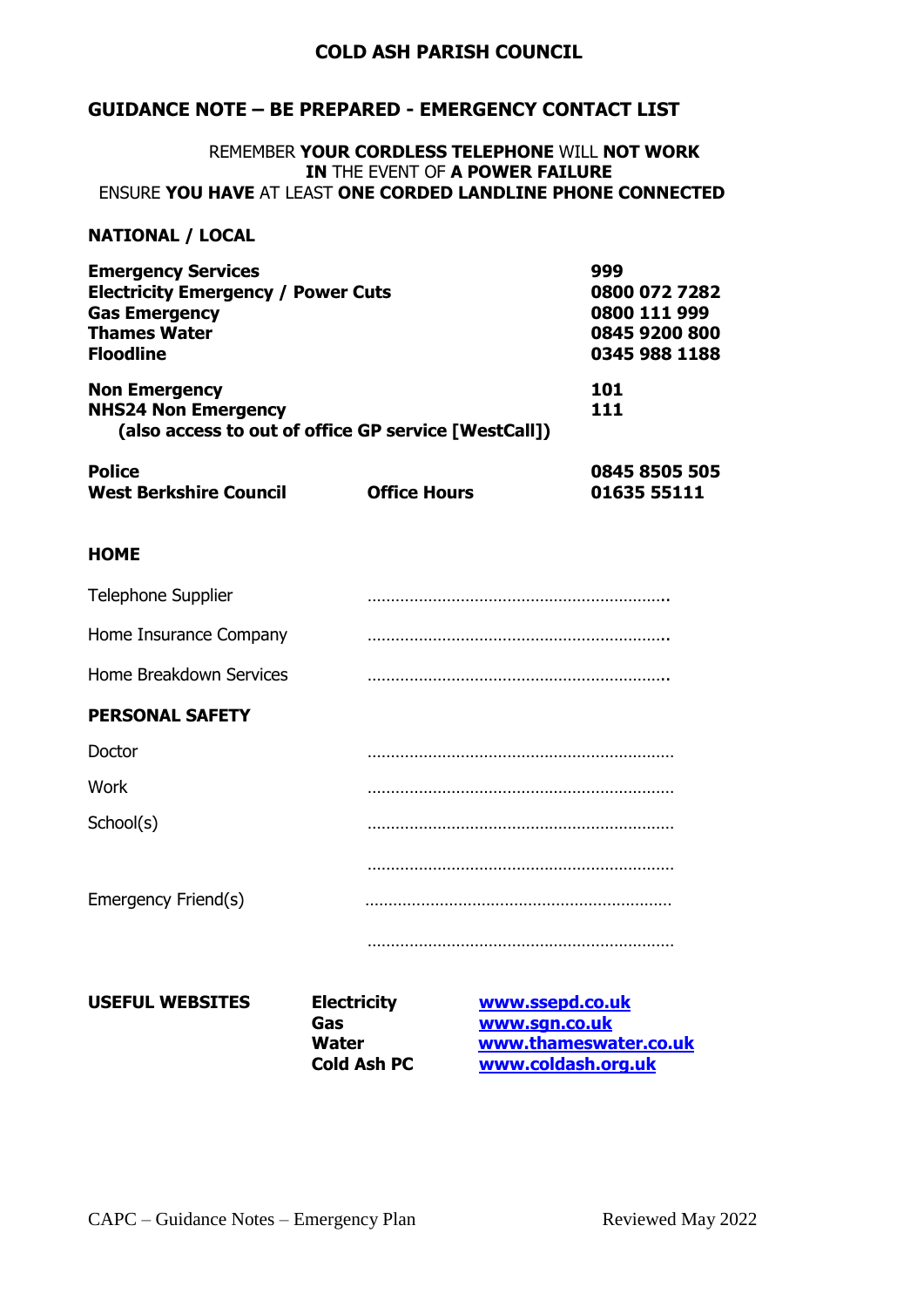# **GUIDANCE NOTE – BE PREPARED - EMERGENCY CONTACT LIST**

#### REMEMBER **YOUR CORDLESS TELEPHONE** WILL **NOT WORK IN** THE EVENT OF **A POWER FAILURE** ENSURE **YOU HAVE** AT LEAST **ONE CORDED LANDLINE PHONE CONNECTED**

#### **NATIONAL / LOCAL**

| 999           |
|---------------|
| 0800 072 7282 |
| 0800 111 999  |
| 0845 9200 800 |
| 0345 988 1188 |
| 101           |
| 111           |
|               |
| 0845 8505 505 |
| 01635 55111   |
|               |

#### **HOME**

| Telephone Supplier      |  |
|-------------------------|--|
| Home Insurance Company  |  |
| Home Breakdown Services |  |
| <b>PERSONAL SAFETY</b>  |  |
| Doctor                  |  |
| <b>Work</b>             |  |
| School(s)               |  |
|                         |  |
| Emergency Friend(s)     |  |
|                         |  |

# **USEFUL WEBSITES Electricity [www.ssepd.co.uk](http://www.ssepd.co.uk/)**

**Gas [www.sgn.co.uk](http://www.sgn.co.uk/) Water WWW.thameswater.co.uk**<br> **Cold Ash PC WWW.coldash.org.uk Cold Ash PC [www.coldash.org.uk](http://www.coldash.org.uk/)**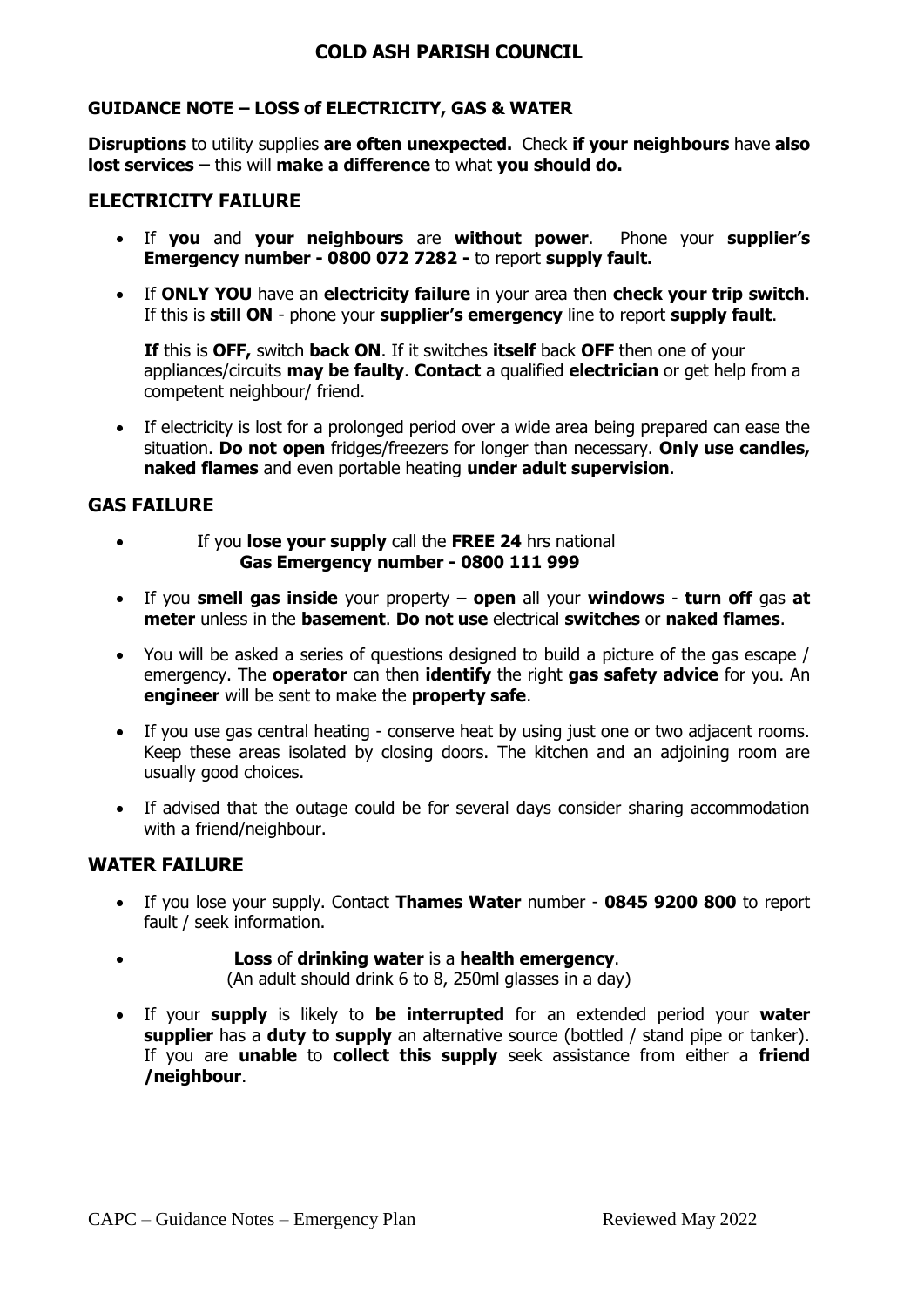# **GUIDANCE NOTE – LOSS of ELECTRICITY, GAS & WATER**

**Disruptions** to utility supplies **are often unexpected.** Check **if your neighbours** have **also lost services –** this will **make a difference** to what **you should do.**

# **ELECTRICITY FAILURE**

- If **you** and **your neighbours** are **without power**. Phone your **supplier's Emergency number - 0800 072 7282 -** to report **supply fault.**
- If **ONLY YOU** have an **electricity failure** in your area then **check your trip switch**. If this is **still ON** - phone your **supplier's emergency** line to report **supply fault**.

**If** this is **OFF,** switch **back ON**. If it switches **itself** back **OFF** then one of your appliances/circuits **may be faulty**. **Contact** a qualified **electrician** or get help from a competent neighbour/ friend.

 If electricity is lost for a prolonged period over a wide area being prepared can ease the situation. **Do not open** fridges/freezers for longer than necessary. **Only use candles, naked flames** and even portable heating **under adult supervision**.

# **GAS FAILURE**

- If you **lose your supply** call the **FREE 24** hrs national **Gas Emergency number - 0800 111 999**
- If you **smell gas inside** your property **open** all your **windows turn off** gas **at meter** unless in the **basement**. **Do not use** electrical **switches** or **naked flames**.
- You will be asked a series of questions designed to build a picture of the gas escape / emergency. The **operator** can then **identify** the right **gas safety advice** for you. An **engineer** will be sent to make the **property safe**.
- If you use gas central heating conserve heat by using just one or two adjacent rooms. Keep these areas isolated by closing doors. The kitchen and an adjoining room are usually good choices.
- If advised that the outage could be for several days consider sharing accommodation with a friend/neighbour.

# **WATER FAILURE**

- If you lose your supply. Contact **Thames Water** number **0845 9200 800** to report fault / seek information.
- **Loss** of **drinking water** is a **health emergency**. (An adult should drink 6 to 8, 250ml glasses in a day)
- If your **supply** is likely to **be interrupted** for an extended period your **water supplier** has a **duty to supply** an alternative source (bottled / stand pipe or tanker). If you are **unable** to **collect this supply** seek assistance from either a **friend /neighbour**.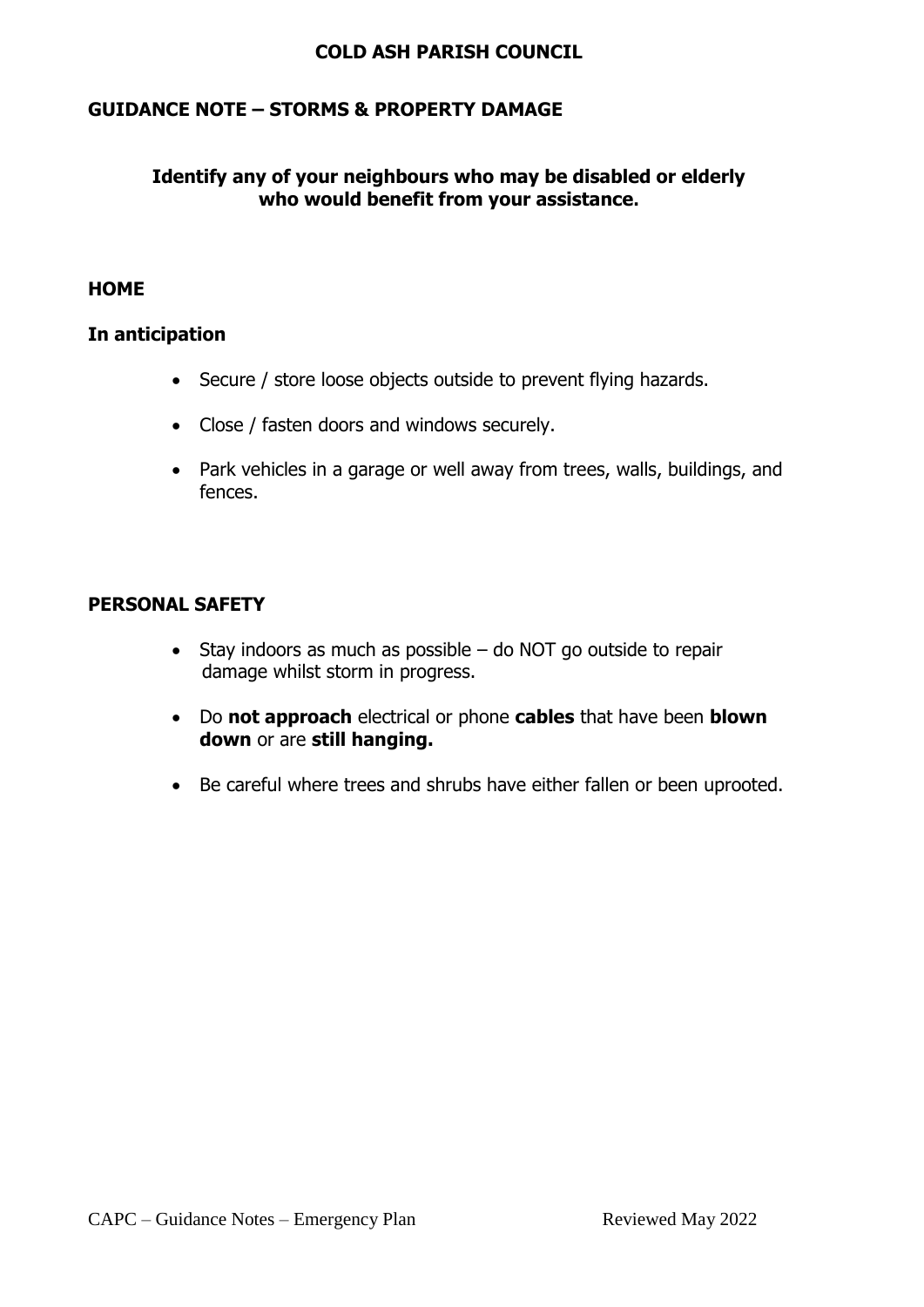# **GUIDANCE NOTE – STORMS & PROPERTY DAMAGE**

# **Identify any of your neighbours who may be disabled or elderly who would benefit from your assistance.**

# **HOME**

# **In anticipation**

- Secure / store loose objects outside to prevent flying hazards.
- Close / fasten doors and windows securely.
- Park vehicles in a garage or well away from trees, walls, buildings, and fences.

# **PERSONAL SAFETY**

- $\bullet$  Stay indoors as much as possible do NOT go outside to repair damage whilst storm in progress.
- Do **not approach** electrical or phone **cables** that have been **blown down** or are **still hanging.**
- Be careful where trees and shrubs have either fallen or been uprooted.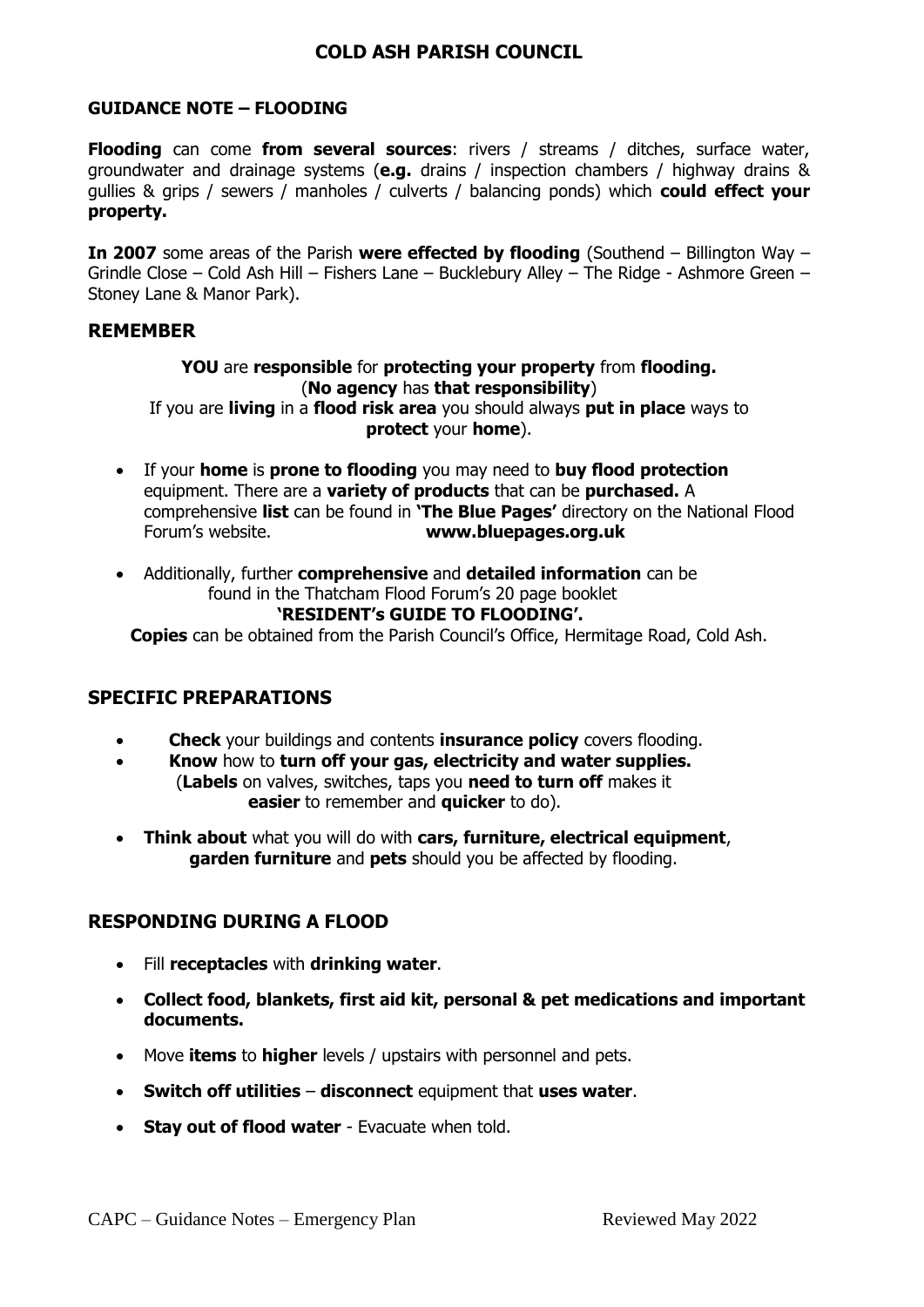# **GUIDANCE NOTE – FLOODING**

**Flooding** can come **from several sources**: rivers / streams / ditches, surface water, groundwater and drainage systems (**e.g.** drains / inspection chambers / highway drains & gullies & grips / sewers / manholes / culverts / balancing ponds) which **could effect your property.** 

**In 2007** some areas of the Parish **were effected by flooding** (Southend – Billington Way – Grindle Close – Cold Ash Hill – Fishers Lane – Bucklebury Alley – The Ridge - Ashmore Green – Stoney Lane & Manor Park).

### **REMEMBER**

### **YOU** are **responsible** for **protecting your property** from **flooding.** (**No agency** has **that responsibility**) If you are **living** in a **flood risk area** you should always **put in place** ways to

#### **protect** your **home**).

- If your **home** is **prone to flooding** you may need to **buy flood protection** equipment. There are a **variety of products** that can be **purchased.** A comprehensive **list** can be found in **'The Blue Pages'** directory on the National Flood Forum's website. **www.bluepages.org.uk**
- Additionally, further **comprehensive** and **detailed information** can be found in the Thatcham Flood Forum's 20 page booklet **'RESIDENT's GUIDE TO FLOODING'.**

**Copies** can be obtained from the Parish Council's Office, Hermitage Road, Cold Ash.

# **SPECIFIC PREPARATIONS**

- **Check** your buildings and contents **insurance policy** covers flooding.
- **Know** how to **turn off your gas, electricity and water supplies.** (**Labels** on valves, switches, taps you **need to turn off** makes it **easier** to remember and **quicker** to do).
- **Think about** what you will do with **cars, furniture, electrical equipment**, **garden furniture** and **pets** should you be affected by flooding.

# **RESPONDING DURING A FLOOD**

- Fill **receptacles** with **drinking water**.
- **Collect food, blankets, first aid kit, personal & pet medications and important documents.**
- Move **items** to **higher** levels / upstairs with personnel and pets.
- **Switch off utilities disconnect** equipment that **uses water**.
- **Stay out of flood water** Evacuate when told.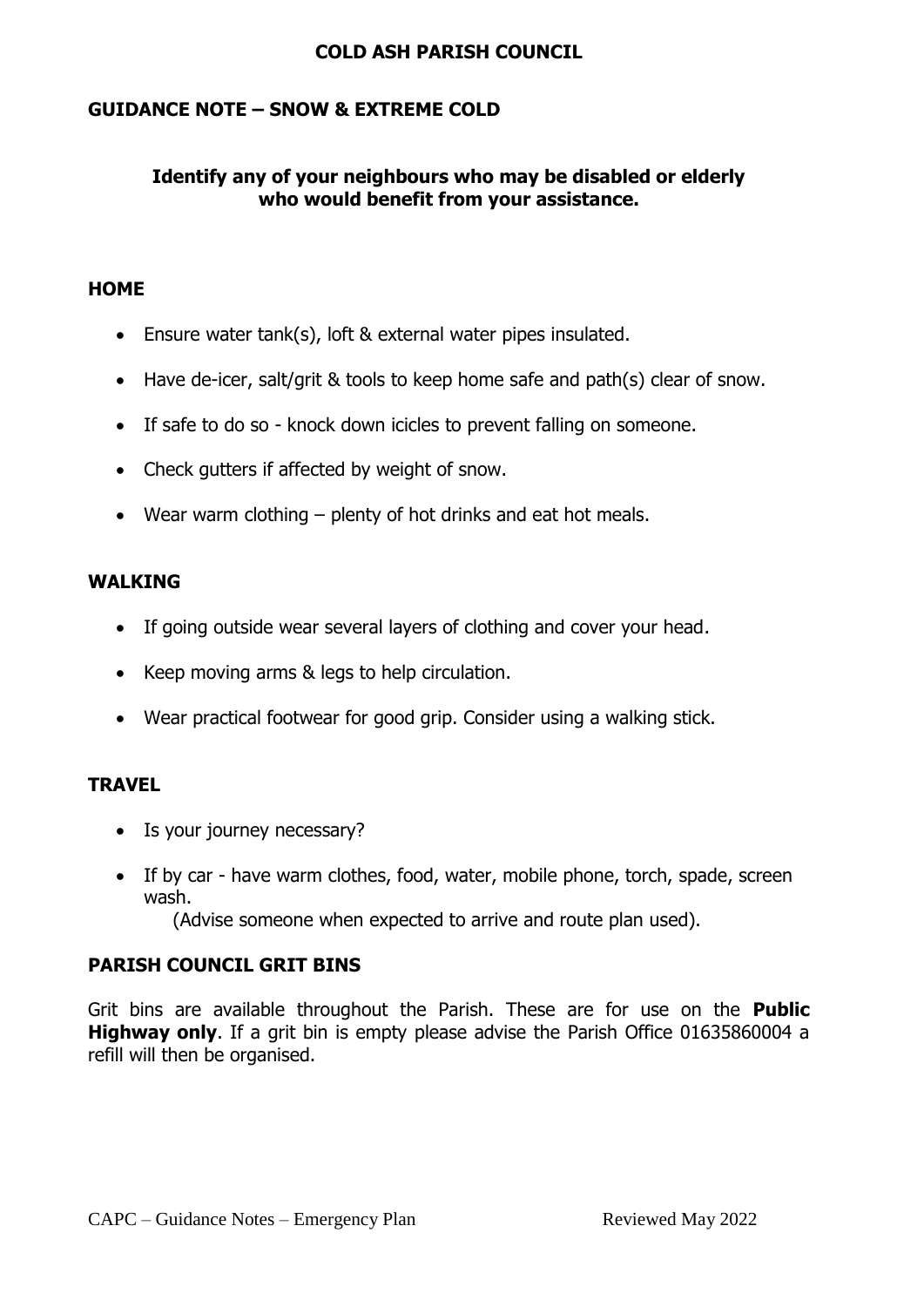# **GUIDANCE NOTE – SNOW & EXTREME COLD**

# **Identify any of your neighbours who may be disabled or elderly who would benefit from your assistance.**

# **HOME**

- Ensure water tank(s), loft & external water pipes insulated.
- Have de-icer, salt/grit & tools to keep home safe and path(s) clear of snow.
- If safe to do so knock down icicles to prevent falling on someone.
- Check gutters if affected by weight of snow.
- Wear warm clothing plenty of hot drinks and eat hot meals.

# **WALKING**

- If going outside wear several layers of clothing and cover your head.
- Keep moving arms & legs to help circulation.
- Wear practical footwear for good grip. Consider using a walking stick.

# **TRAVEL**

- Is your journey necessary?
- If by car have warm clothes, food, water, mobile phone, torch, spade, screen wash.

(Advise someone when expected to arrive and route plan used).

# **PARISH COUNCIL GRIT BINS**

Grit bins are available throughout the Parish. These are for use on the **Public Highway only**. If a grit bin is empty please advise the Parish Office 01635860004 a refill will then be organised.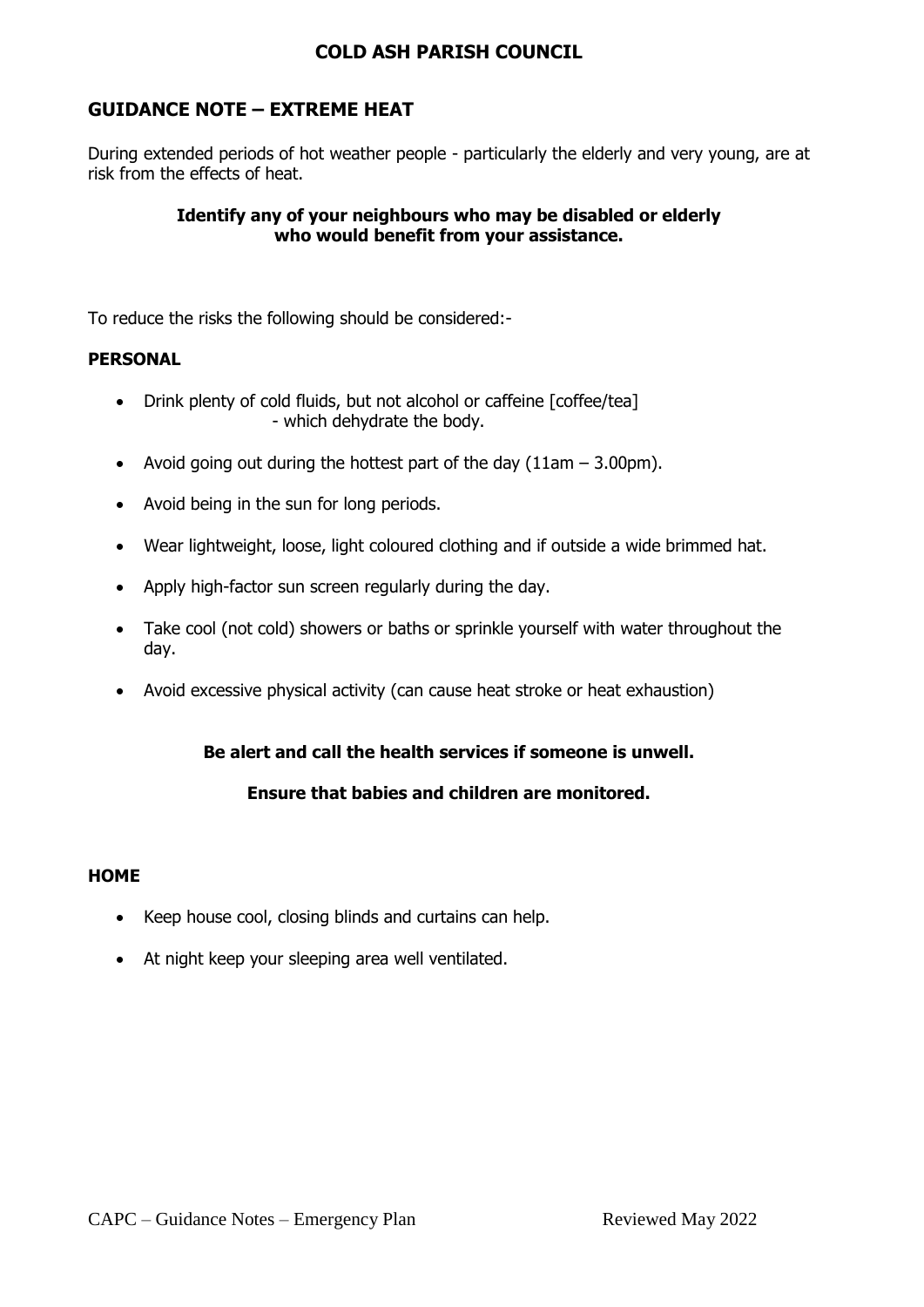# **GUIDANCE NOTE – EXTREME HEAT**

During extended periods of hot weather people - particularly the elderly and very young, are at risk from the effects of heat.

## **Identify any of your neighbours who may be disabled or elderly who would benefit from your assistance.**

To reduce the risks the following should be considered:-

## **PERSONAL**

- Drink plenty of cold fluids, but not alcohol or caffeine [coffee/tea] - which dehydrate the body.
- Avoid going out during the hottest part of the day  $(11am 3.00pm)$ .
- Avoid being in the sun for long periods.
- Wear lightweight, loose, light coloured clothing and if outside a wide brimmed hat.
- Apply high-factor sun screen regularly during the day.
- Take cool (not cold) showers or baths or sprinkle yourself with water throughout the day.
- Avoid excessive physical activity (can cause heat stroke or heat exhaustion)

# **Be alert and call the health services if someone is unwell.**

# **Ensure that babies and children are monitored.**

#### **HOME**

- Keep house cool, closing blinds and curtains can help.
- At night keep your sleeping area well ventilated.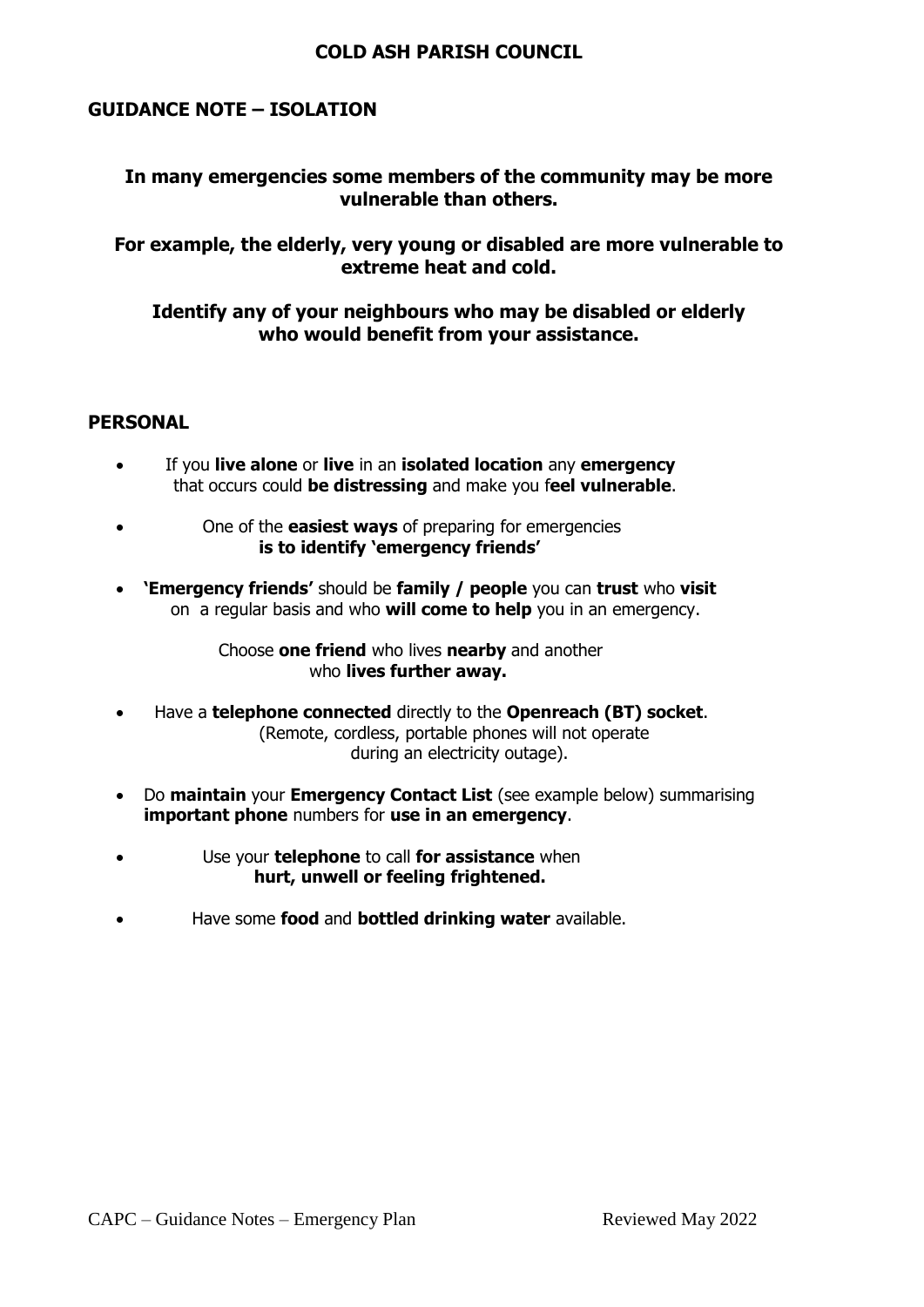# **GUIDANCE NOTE – ISOLATION**

# **In many emergencies some members of the community may be more vulnerable than others.**

## **For example, the elderly, very young or disabled are more vulnerable to extreme heat and cold.**

# **Identify any of your neighbours who may be disabled or elderly who would benefit from your assistance.**

## **PERSONAL**

- If you **live alone** or **live** in an **isolated location** any **emergency** that occurs could **be distressing** and make you f**eel vulnerable**.
- One of the **easiest ways** of preparing for emergencies  **is to identify 'emergency friends'**
- **'Emergency friends'** should be **family / people** you can **trust** who **visit** on a regular basis and who **will come to help** you in an emergency.

 Choose **one friend** who lives **nearby** and another who **lives further away.**

- Have a **telephone connected** directly to the **Openreach (BT) socket**. (Remote, cordless, portable phones will not operate during an electricity outage).
- Do **maintain** your **Emergency Contact List** (see example below) summarising **important phone** numbers for **use in an emergency**.
- Use your **telephone** to call **for assistance** when  **hurt, unwell or feeling frightened.**
- Have some **food** and **bottled drinking water** available.